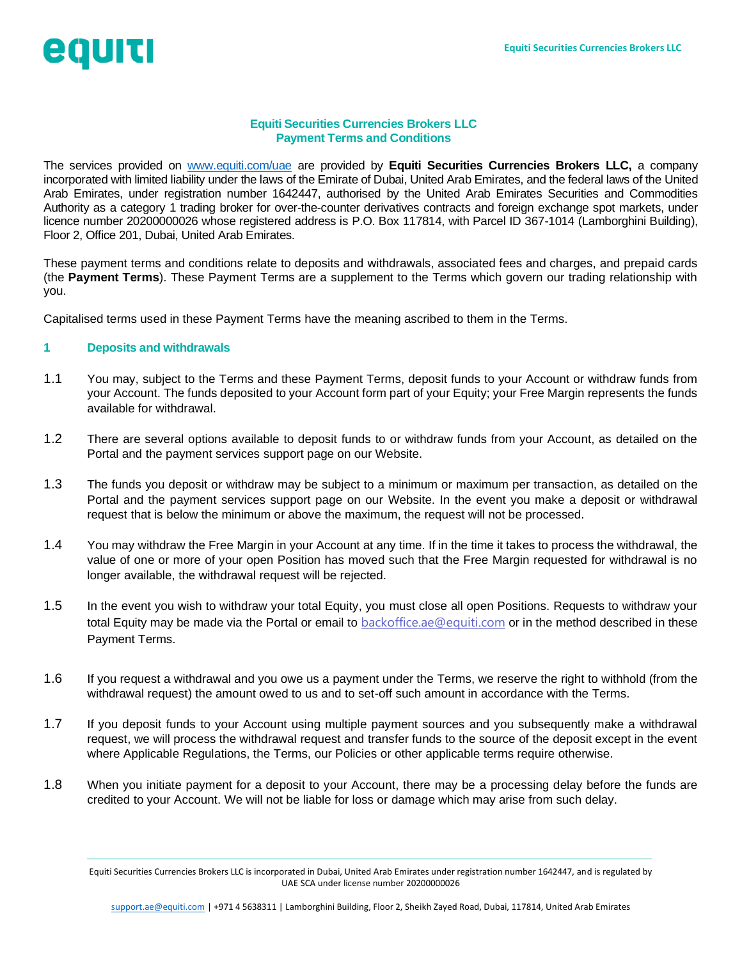# egurt

## **Equiti Securities Currencies Brokers LLC Payment Terms and Conditions**

The services provided on [www.equiti.com/uae](http://www.equiti.com/uae) are provided by **Equiti Securities Currencies Brokers LLC,** a company incorporated with limited liability under the laws of the Emirate of Dubai, United Arab Emirates, and the federal laws of the United Arab Emirates, under registration number 1642447, authorised by the United Arab Emirates Securities and Commodities Authority as a category 1 trading broker for over-the-counter derivatives contracts and foreign exchange spot markets, under licence number 20200000026 whose registered address is P.O. Box 117814, with Parcel ID 367-1014 (Lamborghini Building), Floor 2, Office 201, Dubai, United Arab Emirates.

These payment terms and conditions relate to deposits and withdrawals, associated fees and charges, and prepaid cards (the **Payment Terms**). These Payment Terms are a supplement to the Terms which govern our trading relationship with you.

Capitalised terms used in these Payment Terms have the meaning ascribed to them in the Terms.

#### **1 Deposits and withdrawals**

- 1.1 You may, subject to the Terms and these Payment Terms, deposit funds to your Account or withdraw funds from your Account. The funds deposited to your Account form part of your Equity; your Free Margin represents the funds available for withdrawal.
- 1.2 There are several options available to deposit funds to or withdraw funds from your Account, as detailed on the Portal and the payment services support page on our Website.
- 1.3 The funds you deposit or withdraw may be subject to a minimum or maximum per transaction, as detailed on the Portal and the payment services support page on our Website. In the event you make a deposit or withdrawal request that is below the minimum or above the maximum, the request will not be processed.
- 1.4 You may withdraw the Free Margin in your Account at any time. If in the time it takes to process the withdrawal, the value of one or more of your open Position has moved such that the Free Margin requested for withdrawal is no longer available, the withdrawal request will be rejected.
- 1.5 In the event you wish to withdraw your total Equity, you must close all open Positions. Requests to withdraw your total Equity may be made via the Portal or email to **[backoffice.ae@equiti.com](mailto:backoffice.ae@equiti.com)** or in the method described in these Payment Terms.
- 1.6 If you request a withdrawal and you owe us a payment under the Terms, we reserve the right to withhold (from the withdrawal request) the amount owed to us and to set-off such amount in accordance with the Terms.
- 1.7 If you deposit funds to your Account using multiple payment sources and you subsequently make a withdrawal request, we will process the withdrawal request and transfer funds to the source of the deposit except in the event where Applicable Regulations, the Terms, our Policies or other applicable terms require otherwise.
- 1.8 When you initiate payment for a deposit to your Account, there may be a processing delay before the funds are credited to your Account. We will not be liable for loss or damage which may arise from such delay.

Equiti Securities Currencies Brokers LLC is incorporated in Dubai, United Arab Emirates under registration number 1642447, and is regulated by UAE SCA under license number 20200000026